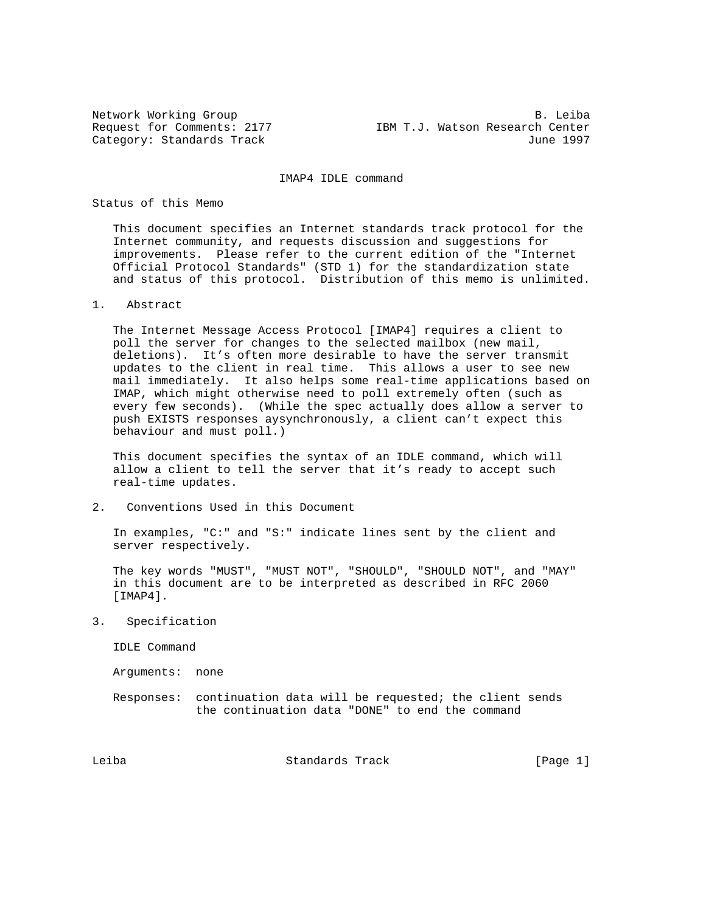Network Working Group<br>Request for Comments: 2177 TBM T.J. Watson Research Center IBM T.J. Watson Research Center Category: Standards Track June 1997

IMAP4 IDLE command

Status of this Memo

 This document specifies an Internet standards track protocol for the Internet community, and requests discussion and suggestions for improvements. Please refer to the current edition of the "Internet Official Protocol Standards" (STD 1) for the standardization state and status of this protocol. Distribution of this memo is unlimited.

1. Abstract

 The Internet Message Access Protocol [IMAP4] requires a client to poll the server for changes to the selected mailbox (new mail, deletions). It's often more desirable to have the server transmit updates to the client in real time. This allows a user to see new mail immediately. It also helps some real-time applications based on IMAP, which might otherwise need to poll extremely often (such as every few seconds). (While the spec actually does allow a server to push EXISTS responses aysynchronously, a client can't expect this behaviour and must poll.)

 This document specifies the syntax of an IDLE command, which will allow a client to tell the server that it's ready to accept such real-time updates.

2. Conventions Used in this Document

 In examples, "C:" and "S:" indicate lines sent by the client and server respectively.

 The key words "MUST", "MUST NOT", "SHOULD", "SHOULD NOT", and "MAY" in this document are to be interpreted as described in RFC 2060 [IMAP4].

3. Specification

IDLE Command

Arguments: none

 Responses: continuation data will be requested; the client sends the continuation data "DONE" to end the command

Leiba Standards Track [Page 1]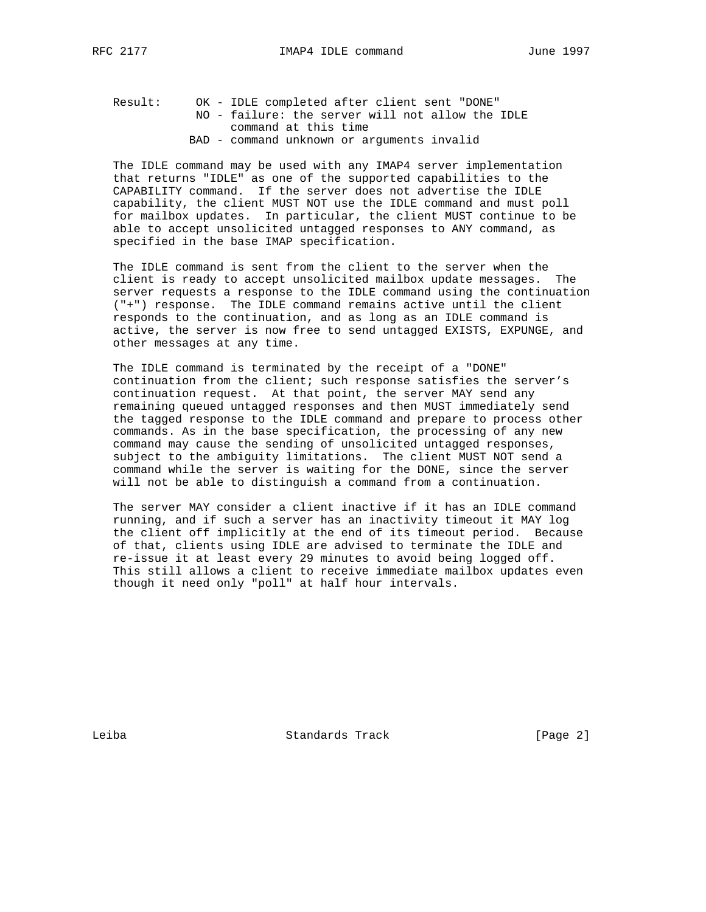Result: OK - IDLE completed after client sent "DONE" NO - failure: the server will not allow the IDLE command at this time BAD - command unknown or arguments invalid

 The IDLE command may be used with any IMAP4 server implementation that returns "IDLE" as one of the supported capabilities to the CAPABILITY command. If the server does not advertise the IDLE capability, the client MUST NOT use the IDLE command and must poll for mailbox updates. In particular, the client MUST continue to be able to accept unsolicited untagged responses to ANY command, as specified in the base IMAP specification.

 The IDLE command is sent from the client to the server when the client is ready to accept unsolicited mailbox update messages. The server requests a response to the IDLE command using the continuation ("+") response. The IDLE command remains active until the client responds to the continuation, and as long as an IDLE command is active, the server is now free to send untagged EXISTS, EXPUNGE, and other messages at any time.

 The IDLE command is terminated by the receipt of a "DONE" continuation from the client; such response satisfies the server's continuation request. At that point, the server MAY send any remaining queued untagged responses and then MUST immediately send the tagged response to the IDLE command and prepare to process other commands. As in the base specification, the processing of any new command may cause the sending of unsolicited untagged responses, subject to the ambiguity limitations. The client MUST NOT send a command while the server is waiting for the DONE, since the server will not be able to distinguish a command from a continuation.

 The server MAY consider a client inactive if it has an IDLE command running, and if such a server has an inactivity timeout it MAY log the client off implicitly at the end of its timeout period. Because of that, clients using IDLE are advised to terminate the IDLE and re-issue it at least every 29 minutes to avoid being logged off. This still allows a client to receive immediate mailbox updates even though it need only "poll" at half hour intervals.

Leiba Standards Track [Page 2]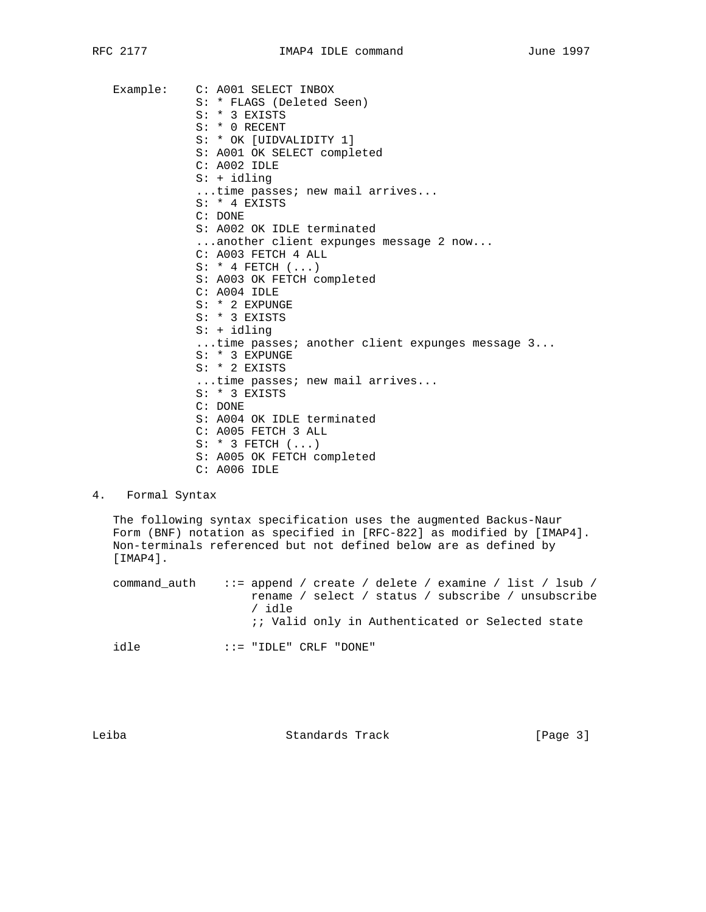Example: C: A001 SELECT INBOX S: \* FLAGS (Deleted Seen) S: \* 3 EXISTS S: \* 0 RECENT S: \* OK [UIDVALIDITY 1] S: A001 OK SELECT completed C: A002 IDLE S: + idling ...time passes; new mail arrives... S: \* 4 EXISTS C: DONE S: A002 OK IDLE terminated ...another client expunges message 2 now... C: A003 FETCH 4 ALL  $S: * 4$  FETCH  $( \ldots )$  S: A003 OK FETCH completed C: A004 IDLE S: \* 2 EXPUNGE S: \* 3 EXISTS S: + idling ...time passes; another client expunges message 3... S: \* 3 EXPUNGE S: \* 2 EXISTS ...time passes; new mail arrives... S: \* 3 EXISTS C: DONE S: A004 OK IDLE terminated C: A005 FETCH 3 ALL S: \* 3 FETCH (...) S: A005 OK FETCH completed C: A006 IDLE

## 4. Formal Syntax

 The following syntax specification uses the augmented Backus-Naur Form (BNF) notation as specified in [RFC-822] as modified by [IMAP4]. Non-terminals referenced but not defined below are as defined by [IMAP4].

 command\_auth ::= append / create / delete / examine / list / lsub / rename / select / status / subscribe / unsubscribe / idle ;; Valid only in Authenticated or Selected state idle ::= "IDLE" CRLF "DONE"

Leiba Standards Track [Page 3]